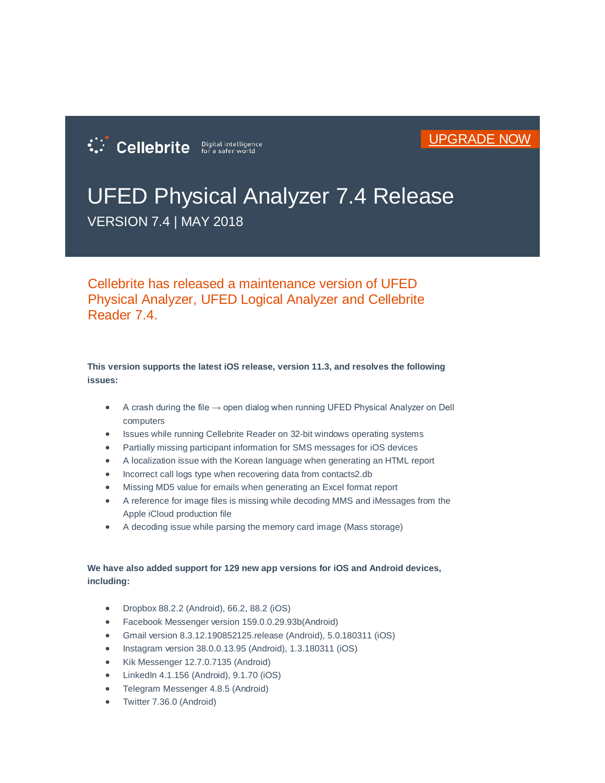

## UFED Physical Analyzer 7.4 Release

VERSION 7.4 | MAY 2018

:: Cellebrite Digital intelligence

Cellebrite has released a maintenance version of UFED Physical Analyzer, UFED Logical Analyzer and Cellebrite Reader 7.4.

**This version supports the latest iOS release, version 11.3, and resolves the following issues:**

- A crash during the file  $\rightarrow$  open dialog when running UFED Physical Analyzer on Dell computers
- Issues while running Cellebrite Reader on 32-bit windows operating systems
- Partially missing participant information for SMS messages for iOS devices
- A localization issue with the Korean language when generating an HTML report
- Incorrect call logs type when recovering data from contacts2.db
- Missing MD5 value for emails when generating an Excel format report
- A reference for image files is missing while decoding MMS and iMessages from the Apple iCloud production file
- A decoding issue while parsing the memory card image (Mass storage)

## **We have also added support for 129 new app versions for iOS and Android devices, including:**

- Dropbox 88.2.2 (Android), 66.2, 88.2 (iOS)
- Facebook Messenger version 159.0.0.29.93b(Android)
- Gmail version 8.3.12.190852125.release (Android), 5.0.180311 (iOS)
- Instagram version 38.0.0.13.95 (Android), 1.3.180311 (iOS)
- Kik Messenger 12.7.0.7135 (Android)
- LinkedIn 4.1.156 (Android), 9.1.70 (iOS)
- Telegram Messenger 4.8.5 (Android)
- Twitter 7.36.0 (Android)